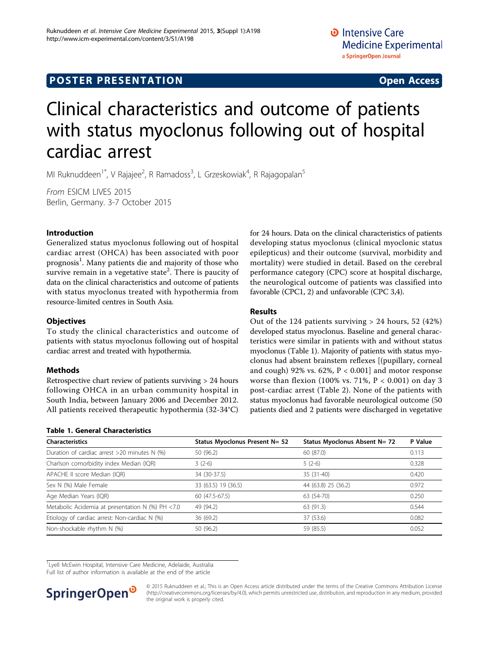# **POSTER PRESENTATION CONSUMING ACCESS**

# Clinical characteristics and outcome of patients with status myoclonus following out of hospital cardiac arrest

MI Ruknuddeen<sup>1\*</sup>, V Rajajee<sup>2</sup>, R Ramadoss<sup>3</sup>, L Grzeskowiak<sup>4</sup>, R Rajagopalan<sup>5</sup>

From ESICM LIVES 2015 Berlin, Germany. 3-7 October 2015

## Introduction

Generalized status myoclonus following out of hospital cardiac arrest (OHCA) has been associated with poor prognosis<sup>1</sup>. Many patients die and majority of those who survive remain in a vegetative state $^2.$  There is paucity of data on the clinical characteristics and outcome of patients with status myoclonus treated with hypothermia from resource-limited centres in South Asia.

## **Objectives**

To study the clinical characteristics and outcome of patients with status myoclonus following out of hospital cardiac arrest and treated with hypothermia.

### Methods

Retrospective chart review of patients surviving > 24 hours following OHCA in an urban community hospital in South India, between January 2006 and December 2012. All patients received therapeutic hypothermia (32-34°C)

## for 24 hours. Data on the clinical characteristics of patients developing status myoclonus (clinical myoclonic status epilepticus) and their outcome (survival, morbidity and mortality) were studied in detail. Based on the cerebral performance category (CPC) score at hospital discharge, the neurological outcome of patients was classified into favorable (CPC1, 2) and unfavorable (CPC 3,4).

## Results

Out of the 124 patients surviving  $> 24$  hours, 52 (42%) developed status myoclonus. Baseline and general characteristics were similar in patients with and without status myoclonus (Table 1). Majority of patients with status myoclonus had absent brainstem reflexes [(pupillary, corneal and cough) 92% vs.  $62\%$ ,  $P < 0.001$ ] and motor response worse than flexion (100% vs. 71%,  $P < 0.001$ ) on day 3 post-cardiac arrest (Table [2\)](#page-1-0). None of the patients with status myoclonus had favorable neurological outcome (50 patients died and 2 patients were discharged in vegetative

| <b>Characteristics</b>                           | Status Myoclonus Present N= 52 | Status Myoclonus Absent N= 72 | P Value |
|--------------------------------------------------|--------------------------------|-------------------------------|---------|
| Duration of cardiac arrest >20 minutes N (%)     | 50 (96.2)                      | 60 (87.0)                     | 0.113   |
| Charlson comorbidity index Median (IQR)          | $3(2-6)$                       | $5(2-6)$                      | 0.328   |
| APACHE II score Median (IQR)                     | 34 (30-37.5)                   | 35 (31-40)                    | 0.420   |
| Sex N (%) Male Female                            | 33 (63.5) 19 (36.5)            | 44 (63.8) 25 (36.2)           | 0.972   |
| Age Median Years (IQR)                           | 60 (47.5-67.5)                 | 63 (54-70)                    | 0.250   |
| Metabolic Acidemia at presentation N (%) PH <7.0 | 49 (94.2)                      | 63 (91.3)                     | 0.544   |
| Etiology of cardiac arrest: Non-cardiac N (%)    | 36 (69.2)                      | 37 (53.6)                     | 0.082   |
| Non-shockable rhythm N (%)                       | 50 (96.2)                      | 59 (85.5)                     | 0.052   |

<sup>1</sup> Lyell McEwin Hospital, Intensive Care Medicine, Adelaide, Australia

Full list of author information is available at the end of the article



Table 1. General Characteristics

© 2015 Ruknuddeen et al.; This is an Open Access article distributed under the terms of the Creative Commons Attribution License [\(http://creativecommons.org/licenses/by/4.0](http://creativecommons.org/licenses/by/4.0)), which permits unrestricted use, distribution, and reproduction in any medium, provided the original work is properly cited.